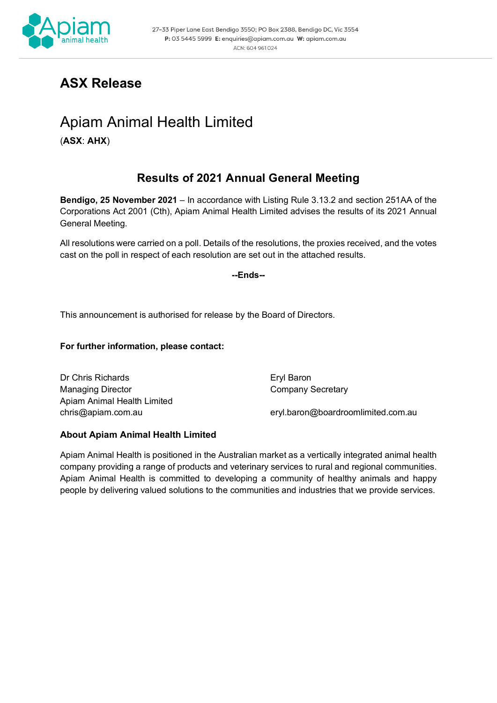

## **ASX Release**

# Apiam Animal Health Limited

(**ASX**: **AHX**)

### **Results of 2021 Annual General Meeting**

**Bendigo, 25 November 2021** – In accordance with Listing Rule 3.13.2 and section 251AA of the Corporations Act 2001 (Cth), Apiam Animal Health Limited advises the results of its 2021 Annual General Meeting.

All resolutions were carried on a poll. Details of the resolutions, the proxies received, and the votes cast on the poll in respect of each resolution are set out in the attached results.

**--Ends--**

This announcement is authorised for release by the Board of Directors.

#### **For further information, please contact:**

Dr Chris Richards **Eryl Baron** Managing Director **Company Secretary** Apiam Animal Health Limited

[chris@apiam.com.au](mailto:chris@apiam.com.au) eryl.baron@boardroomlimited.com.au

### **About Apiam Animal Health Limited**

Apiam Animal Health is positioned in the Australian market as a vertically integrated animal health company providing a range of products and veterinary services to rural and regional communities. Apiam Animal Health is committed to developing a community of healthy animals and happy people by delivering valued solutions to the communities and industries that we provide services.